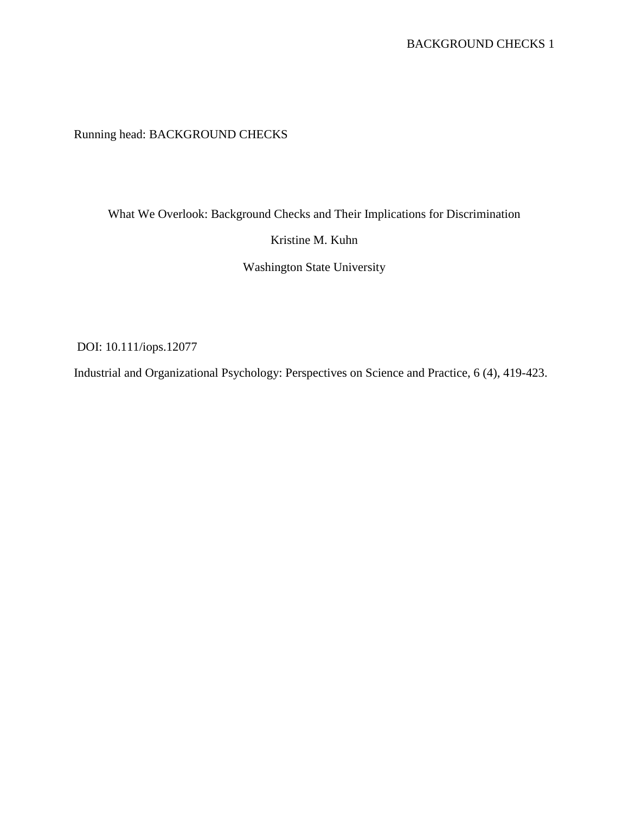Running head: BACKGROUND CHECKS

## What We Overlook: Background Checks and Their Implications for Discrimination

Kristine M. Kuhn

Washington State University

DOI: 10.111/iops.12077

Industrial and Organizational Psychology: Perspectives on Science and Practice, 6 (4), 419-423.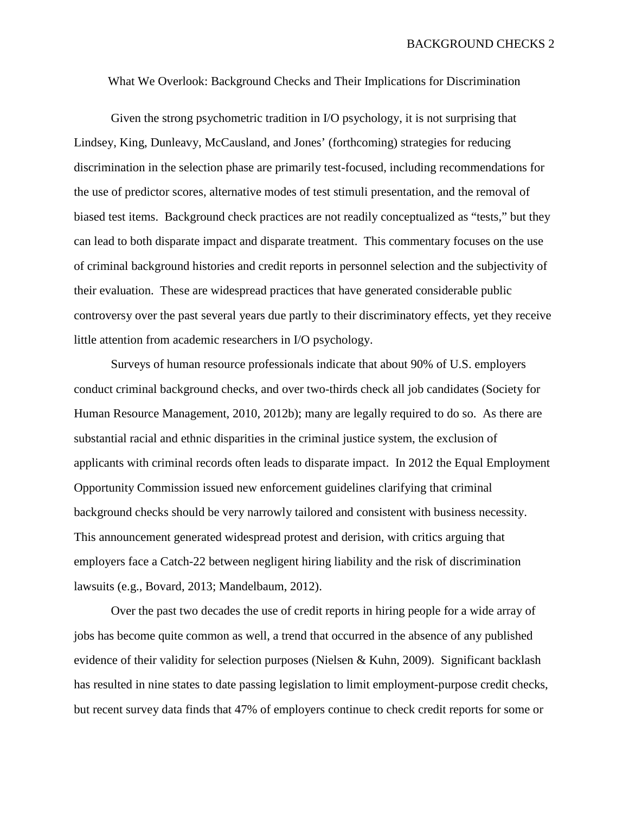What We Overlook: Background Checks and Their Implications for Discrimination

Given the strong psychometric tradition in I/O psychology, it is not surprising that Lindsey, King, Dunleavy, McCausland, and Jones' (forthcoming) strategies for reducing discrimination in the selection phase are primarily test-focused, including recommendations for the use of predictor scores, alternative modes of test stimuli presentation, and the removal of biased test items. Background check practices are not readily conceptualized as "tests," but they can lead to both disparate impact and disparate treatment. This commentary focuses on the use of criminal background histories and credit reports in personnel selection and the subjectivity of their evaluation. These are widespread practices that have generated considerable public controversy over the past several years due partly to their discriminatory effects, yet they receive little attention from academic researchers in I/O psychology.

Surveys of human resource professionals indicate that about 90% of U.S. employers conduct criminal background checks, and over two-thirds check all job candidates (Society for Human Resource Management, 2010, 2012b); many are legally required to do so. As there are substantial racial and ethnic disparities in the criminal justice system, the exclusion of applicants with criminal records often leads to disparate impact. In 2012 the Equal Employment Opportunity Commission issued new enforcement guidelines clarifying that criminal background checks should be very narrowly tailored and consistent with business necessity. This announcement generated widespread protest and derision, with critics arguing that employers face a Catch-22 between negligent hiring liability and the risk of discrimination lawsuits (e.g., Bovard, 2013; Mandelbaum, 2012).

Over the past two decades the use of credit reports in hiring people for a wide array of jobs has become quite common as well, a trend that occurred in the absence of any published evidence of their validity for selection purposes (Nielsen & Kuhn, 2009). Significant backlash has resulted in nine states to date passing legislation to limit employment-purpose credit checks, but recent survey data finds that 47% of employers continue to check credit reports for some or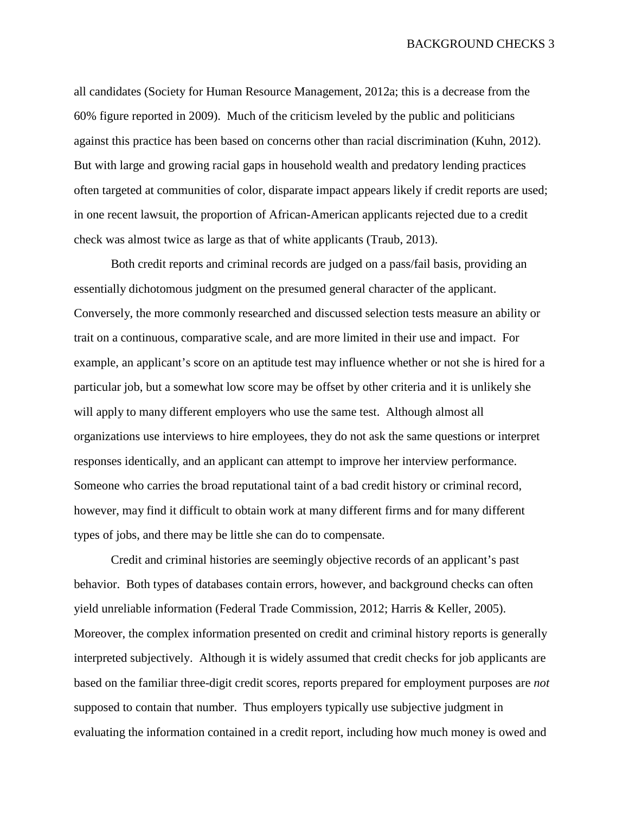all candidates (Society for Human Resource Management, 2012a; this is a decrease from the 60% figure reported in 2009). Much of the criticism leveled by the public and politicians against this practice has been based on concerns other than racial discrimination (Kuhn, 2012). But with large and growing racial gaps in household wealth and predatory lending practices often targeted at communities of color, disparate impact appears likely if credit reports are used; in one recent lawsuit, the proportion of African-American applicants rejected due to a credit check was almost twice as large as that of white applicants (Traub, 2013).

Both credit reports and criminal records are judged on a pass/fail basis, providing an essentially dichotomous judgment on the presumed general character of the applicant. Conversely, the more commonly researched and discussed selection tests measure an ability or trait on a continuous, comparative scale, and are more limited in their use and impact. For example, an applicant's score on an aptitude test may influence whether or not she is hired for a particular job, but a somewhat low score may be offset by other criteria and it is unlikely she will apply to many different employers who use the same test. Although almost all organizations use interviews to hire employees, they do not ask the same questions or interpret responses identically, and an applicant can attempt to improve her interview performance. Someone who carries the broad reputational taint of a bad credit history or criminal record, however, may find it difficult to obtain work at many different firms and for many different types of jobs, and there may be little she can do to compensate.

Credit and criminal histories are seemingly objective records of an applicant's past behavior. Both types of databases contain errors, however, and background checks can often yield unreliable information (Federal Trade Commission, 2012; Harris & Keller, 2005). Moreover, the complex information presented on credit and criminal history reports is generally interpreted subjectively. Although it is widely assumed that credit checks for job applicants are based on the familiar three-digit credit scores, reports prepared for employment purposes are *not*  supposed to contain that number. Thus employers typically use subjective judgment in evaluating the information contained in a credit report, including how much money is owed and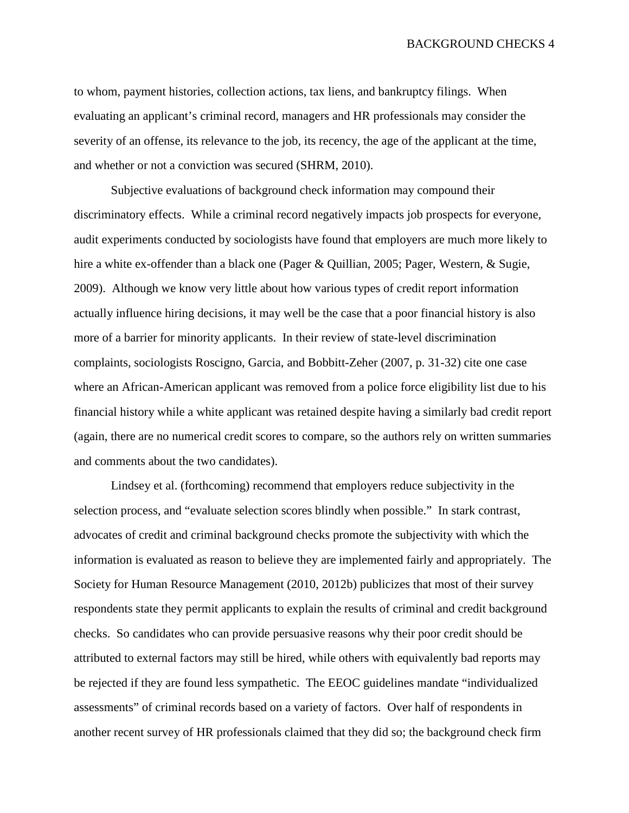BACKGROUND CHECKS 4

to whom, payment histories, collection actions, tax liens, and bankruptcy filings. When evaluating an applicant's criminal record, managers and HR professionals may consider the severity of an offense, its relevance to the job, its recency, the age of the applicant at the time, and whether or not a conviction was secured (SHRM, 2010).

Subjective evaluations of background check information may compound their discriminatory effects. While a criminal record negatively impacts job prospects for everyone, audit experiments conducted by sociologists have found that employers are much more likely to hire a white ex-offender than a black one (Pager & Quillian, 2005; Pager, Western, & Sugie, 2009). Although we know very little about how various types of credit report information actually influence hiring decisions, it may well be the case that a poor financial history is also more of a barrier for minority applicants. In their review of state-level discrimination complaints, sociologists Roscigno, Garcia, and Bobbitt-Zeher (2007, p. 31-32) cite one case where an African-American applicant was removed from a police force eligibility list due to his financial history while a white applicant was retained despite having a similarly bad credit report (again, there are no numerical credit scores to compare, so the authors rely on written summaries and comments about the two candidates).

Lindsey et al. (forthcoming) recommend that employers reduce subjectivity in the selection process, and "evaluate selection scores blindly when possible." In stark contrast, advocates of credit and criminal background checks promote the subjectivity with which the information is evaluated as reason to believe they are implemented fairly and appropriately. The Society for Human Resource Management (2010, 2012b) publicizes that most of their survey respondents state they permit applicants to explain the results of criminal and credit background checks. So candidates who can provide persuasive reasons why their poor credit should be attributed to external factors may still be hired, while others with equivalently bad reports may be rejected if they are found less sympathetic. The EEOC guidelines mandate "individualized assessments" of criminal records based on a variety of factors. Over half of respondents in another recent survey of HR professionals claimed that they did so; the background check firm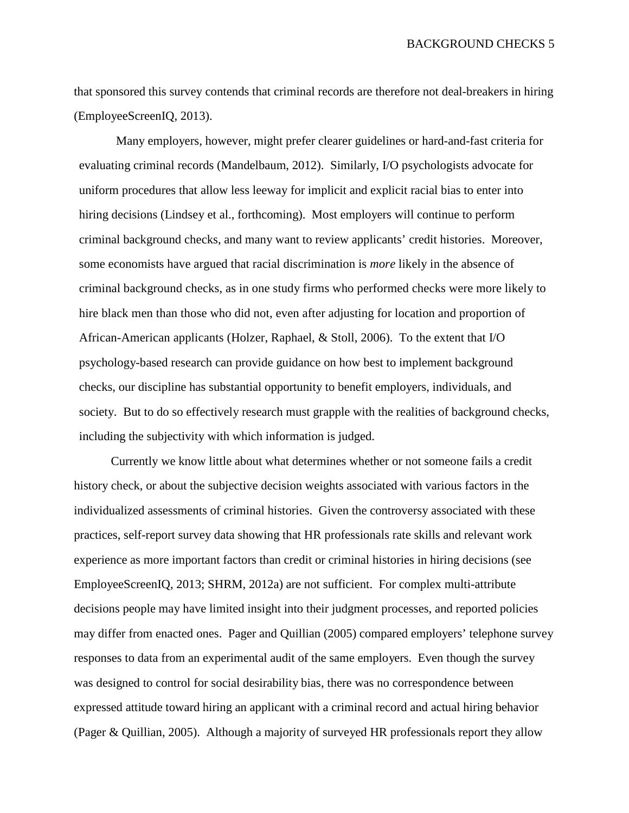that sponsored this survey contends that criminal records are therefore not deal-breakers in hiring (EmployeeScreenIQ, 2013).

Many employers, however, might prefer clearer guidelines or hard-and-fast criteria for evaluating criminal records (Mandelbaum, 2012). Similarly, I/O psychologists advocate for uniform procedures that allow less leeway for implicit and explicit racial bias to enter into hiring decisions (Lindsey et al., forthcoming). Most employers will continue to perform criminal background checks, and many want to review applicants' credit histories. Moreover, some economists have argued that racial discrimination is *more* likely in the absence of criminal background checks, as in one study firms who performed checks were more likely to hire black men than those who did not, even after adjusting for location and proportion of African-American applicants (Holzer, Raphael, & Stoll, 2006). To the extent that I/O psychology-based research can provide guidance on how best to implement background checks, our discipline has substantial opportunity to benefit employers, individuals, and society. But to do so effectively research must grapple with the realities of background checks, including the subjectivity with which information is judged.

Currently we know little about what determines whether or not someone fails a credit history check, or about the subjective decision weights associated with various factors in the individualized assessments of criminal histories. Given the controversy associated with these practices, self-report survey data showing that HR professionals rate skills and relevant work experience as more important factors than credit or criminal histories in hiring decisions (see EmployeeScreenIQ, 2013; SHRM, 2012a) are not sufficient. For complex multi-attribute decisions people may have limited insight into their judgment processes, and reported policies may differ from enacted ones. Pager and Quillian (2005) compared employers' telephone survey responses to data from an experimental audit of the same employers. Even though the survey was designed to control for social desirability bias, there was no correspondence between expressed attitude toward hiring an applicant with a criminal record and actual hiring behavior (Pager & Quillian, 2005). Although a majority of surveyed HR professionals report they allow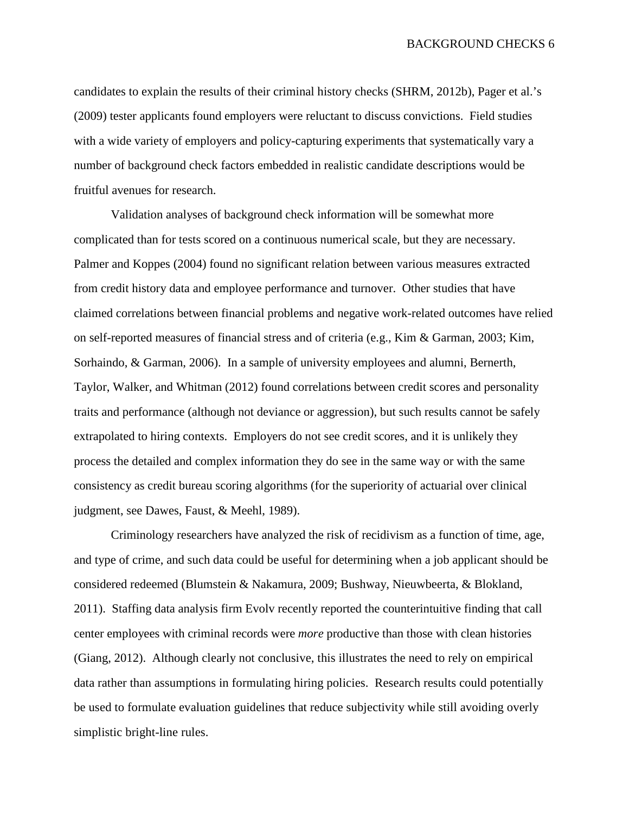candidates to explain the results of their criminal history checks (SHRM, 2012b), Pager et al.'s (2009) tester applicants found employers were reluctant to discuss convictions. Field studies with a wide variety of employers and policy-capturing experiments that systematically vary a number of background check factors embedded in realistic candidate descriptions would be fruitful avenues for research.

Validation analyses of background check information will be somewhat more complicated than for tests scored on a continuous numerical scale, but they are necessary. Palmer and Koppes (2004) found no significant relation between various measures extracted from credit history data and employee performance and turnover. Other studies that have claimed correlations between financial problems and negative work-related outcomes have relied on self-reported measures of financial stress and of criteria (e.g., Kim & Garman, 2003; Kim, Sorhaindo, & Garman, 2006). In a sample of university employees and alumni, Bernerth, Taylor, Walker, and Whitman (2012) found correlations between credit scores and personality traits and performance (although not deviance or aggression), but such results cannot be safely extrapolated to hiring contexts. Employers do not see credit scores, and it is unlikely they process the detailed and complex information they do see in the same way or with the same consistency as credit bureau scoring algorithms (for the superiority of actuarial over clinical judgment, see Dawes, Faust, & Meehl, 1989).

Criminology researchers have analyzed the risk of recidivism as a function of time, age, and type of crime, and such data could be useful for determining when a job applicant should be considered redeemed (Blumstein & Nakamura, 2009; Bushway, Nieuwbeerta, & Blokland, 2011). Staffing data analysis firm Evolv recently reported the counterintuitive finding that call center employees with criminal records were *more* productive than those with clean histories (Giang, 2012). Although clearly not conclusive, this illustrates the need to rely on empirical data rather than assumptions in formulating hiring policies. Research results could potentially be used to formulate evaluation guidelines that reduce subjectivity while still avoiding overly simplistic bright-line rules.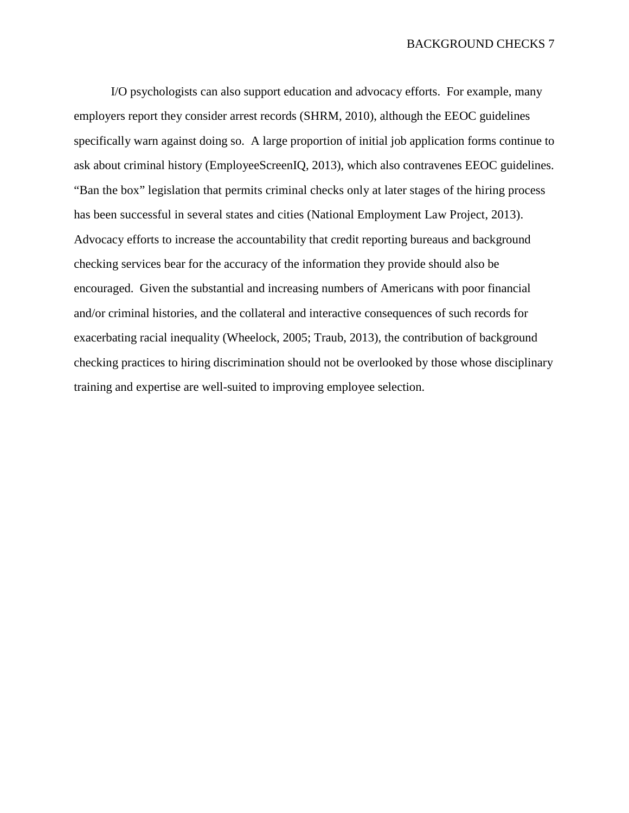I/O psychologists can also support education and advocacy efforts. For example, many employers report they consider arrest records (SHRM, 2010), although the EEOC guidelines specifically warn against doing so. A large proportion of initial job application forms continue to ask about criminal history (EmployeeScreenIQ, 2013), which also contravenes EEOC guidelines. "Ban the box" legislation that permits criminal checks only at later stages of the hiring process has been successful in several states and cities (National Employment Law Project, 2013). Advocacy efforts to increase the accountability that credit reporting bureaus and background checking services bear for the accuracy of the information they provide should also be encouraged. Given the substantial and increasing numbers of Americans with poor financial and/or criminal histories, and the collateral and interactive consequences of such records for exacerbating racial inequality (Wheelock, 2005; Traub, 2013), the contribution of background checking practices to hiring discrimination should not be overlooked by those whose disciplinary training and expertise are well-suited to improving employee selection.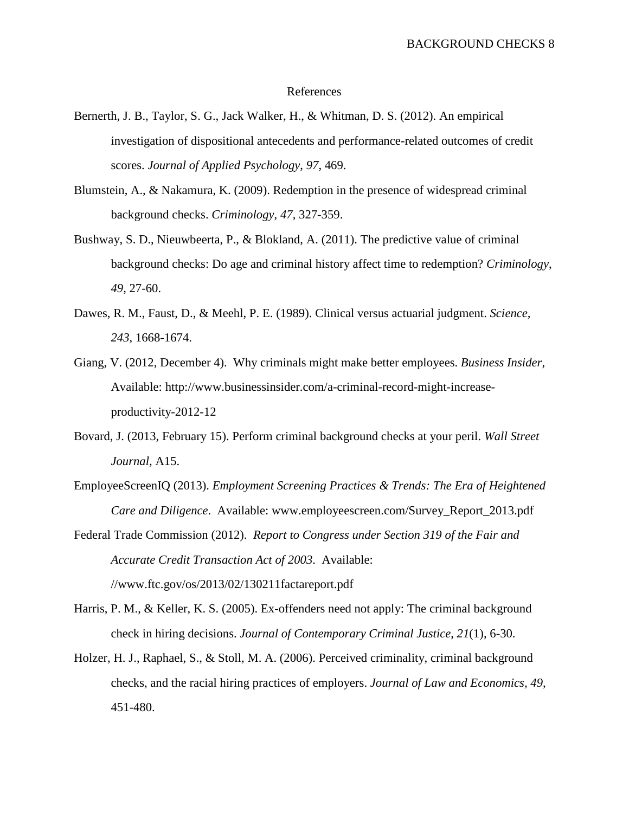## References

- Bernerth, J. B., Taylor, S. G., Jack Walker, H., & Whitman, D. S. (2012). An empirical investigation of dispositional antecedents and performance-related outcomes of credit scores. *Journal of Applied Psychology*, *97*, 469.
- Blumstein, A., & Nakamura, K. (2009). Redemption in the presence of widespread criminal background checks. *Criminology*, *47*, 327-359.
- Bushway, S. D., Nieuwbeerta, P., & Blokland, A. (2011). The predictive value of criminal background checks: Do age and criminal history affect time to redemption? *Criminology*, *49*, 27-60.
- Dawes, R. M., Faust, D., & Meehl, P. E. (1989). Clinical versus actuarial judgment. *Science, 243*, 1668-1674.
- Giang, V. (2012, December 4). Why criminals might make better employees. *Business Insider*, Available: http://www.businessinsider.com/a-criminal-record-might-increaseproductivity-2012-12
- Bovard, J. (2013, February 15). Perform criminal background checks at your peril. *Wall Street Journal,* A15.
- EmployeeScreenIQ (2013). *Employment Screening Practices & Trends: The Era of Heightened Care and Diligence*. Available: www.employeescreen.com/Survey\_Report\_2013.pdf
- Federal Trade Commission (2012). *Report to Congress under Section 319 of the Fair and Accurate Credit Transaction Act of 2003*. Available: //www.ftc.gov/os/2013/02/130211factareport.pdf
- Harris, P. M., & Keller, K. S. (2005). Ex-offenders need not apply: The criminal background check in hiring decisions. *Journal of Contemporary Criminal Justice*, *21*(1), 6-30.
- Holzer, H. J., Raphael, S., & Stoll, M. A. (2006). Perceived criminality, criminal background checks, and the racial hiring practices of employers. *Journal of Law and Economics, 49*, 451-480.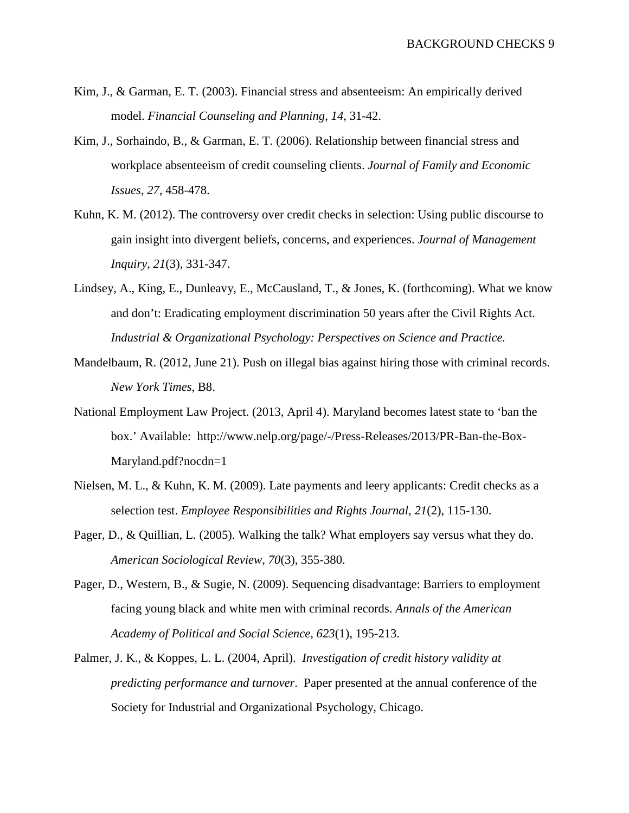- Kim, J., & Garman, E. T. (2003). Financial stress and absenteeism: An empirically derived model. *Financial Counseling and Planning*, *14*, 31-42.
- Kim, J., Sorhaindo, B., & Garman, E. T. (2006). Relationship between financial stress and workplace absenteeism of credit counseling clients. *Journal of Family and Economic Issues*, *27*, 458-478.
- Kuhn, K. M. (2012). The controversy over credit checks in selection: Using public discourse to gain insight into divergent beliefs, concerns, and experiences. *Journal of Management Inquiry*, *21*(3), 331-347.
- Lindsey, A., King, E., Dunleavy, E., McCausland, T., & Jones, K. (forthcoming). What we know and don't: Eradicating employment discrimination 50 years after the Civil Rights Act. *Industrial & Organizational Psychology: Perspectives on Science and Practice.*
- Mandelbaum, R. (2012, June 21). Push on illegal bias against hiring those with criminal records. *New York Times*, B8.
- National Employment Law Project. (2013, April 4). Maryland becomes latest state to 'ban the box.' Available: http://www.nelp.org/page/-/Press-Releases/2013/PR-Ban-the-Box-Maryland.pdf?nocdn=1
- Nielsen, M. L., & Kuhn, K. M. (2009). Late payments and leery applicants: Credit checks as a selection test. *Employee Responsibilities and Rights Journal*, *21*(2), 115-130.
- Pager, D., & Quillian, L. (2005). Walking the talk? What employers say versus what they do. *American Sociological Review*, *70*(3), 355-380.
- Pager, D., Western, B., & Sugie, N. (2009). Sequencing disadvantage: Barriers to employment facing young black and white men with criminal records. *Annals of the American Academy of Political and Social Science*, *623*(1), 195-213.
- Palmer, J. K., & Koppes, L. L. (2004, April). *Investigation of credit history validity at predicting performance and turnover*. Paper presented at the annual conference of the Society for Industrial and Organizational Psychology*,* Chicago.